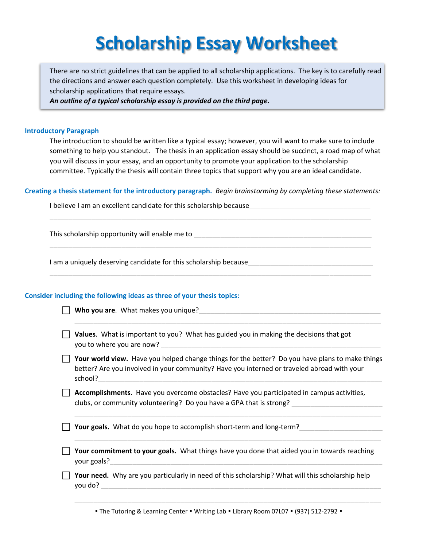# **Scholarship Essay Worksheet**

There are no strict guidelines that can be applied to all scholarship applications. The key is to carefully read the directions and answer each question completely. Use this worksheet in developing ideas for scholarship applications that require essays.

*An outline of a typical scholarship essay is provided on the third page.*

#### **Introductory Paragraph**

The introduction to should be written like a typical essay; however, you will want to make sure to include something to help you standout. The thesis in an application essay should be succinct, a road map of what you will discuss in your essay, and an opportunity to promote your application to the scholarship committee. Typically the thesis will contain three topics that support why you are an ideal candidate.

#### **Creating a thesis statement for the introductory paragraph.** *Begin brainstorming by completing these statements:*

I believe I am an excellent candidate for this scholarship because

This scholarship opportunity will enable me to

I am a uniquely deserving candidate for this scholarship because

#### **Consider including the following ideas as three of your thesis topics:**

**Who you are**. What makes you unique?

**Values**. What is important to you? What has guided you in making the decisions that got you to where you are now?

 **Your world view.** Have you helped change things for the better? Do you have plans to make things better? Are you involved in your community? Have you interned or traveled abroad with your school?\_\_\_\_\_\_\_\_\_\_\_\_\_\_\_\_\_\_\_\_\_\_\_\_\_\_\_\_\_\_\_\_\_\_\_\_\_\_\_\_\_\_\_\_\_\_\_\_\_\_\_\_\_\_\_\_\_\_\_\_\_\_\_\_\_\_\_\_\_\_\_\_\_\_\_

\_\_\_\_\_\_\_\_\_\_\_\_\_\_\_\_\_\_\_\_\_\_\_\_\_\_\_\_\_\_\_\_\_\_\_\_\_\_\_\_\_\_\_\_\_\_\_\_\_\_\_\_\_\_\_\_\_\_\_\_\_\_\_\_\_\_\_\_\_\_\_\_\_\_\_\_\_\_\_\_\_

\_\_\_\_\_\_\_\_\_\_\_\_\_\_\_\_\_\_\_\_\_\_\_\_\_\_\_\_\_\_\_\_\_\_\_\_\_\_\_\_\_\_\_\_\_\_\_\_\_\_\_\_\_\_\_\_\_\_\_\_\_\_\_\_\_\_\_\_\_\_\_\_\_\_\_\_\_\_\_\_\_

\_\_\_\_\_\_\_\_\_\_\_\_\_\_\_\_\_\_\_\_\_\_\_\_\_\_\_\_\_\_\_\_\_\_\_\_\_\_\_\_\_\_\_\_\_\_\_\_\_\_\_\_\_\_\_\_\_\_\_\_\_\_\_\_\_\_\_\_\_\_\_\_\_\_\_\_\_\_\_\_\_

 **Accomplishments.** Have you overcome obstacles? Have you participated in campus activities, clubs, or community volunteering? Do you have a GPA that is strong?

**Your goals.** What do you hope to accomplish short-term and long-term?

 **Your commitment to your goals.** What things have you done that aided you in towards reaching your goals?

**T** Your need. Why are you particularly in need of this scholarship? What will this scholarship help you do? \_\_\_\_\_\_\_\_\_\_\_\_\_\_\_\_\_\_\_\_\_\_\_\_\_\_\_\_\_\_\_\_\_\_\_\_\_\_\_\_\_\_\_\_\_\_\_\_\_\_\_\_\_\_\_\_\_\_\_\_\_\_\_\_\_\_\_\_\_\_\_\_\_\_

\_\_\_\_\_\_\_\_\_\_\_\_\_\_\_\_\_\_\_\_\_\_\_\_\_\_\_\_\_\_\_\_\_\_\_\_\_\_\_\_\_\_\_\_\_\_\_\_\_\_\_\_\_\_\_\_\_\_\_\_\_\_\_\_\_\_\_\_\_\_\_\_\_\_\_\_\_\_\_\_\_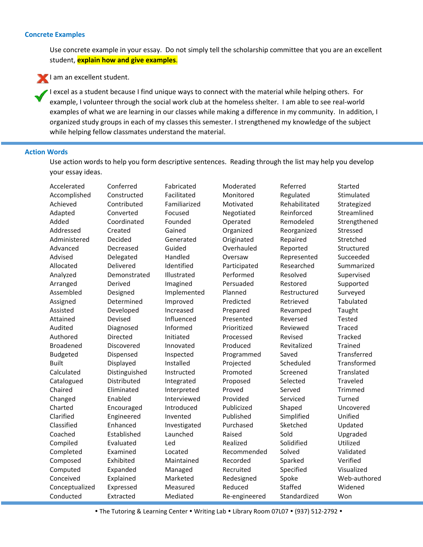#### **Concrete Examples**

Use concrete example in your essay. Do not simply tell the scholarship committee that you are an excellent student, **explain how and give examples**.



I am an excellent student.

I excel as a student because I find unique ways to connect with the material while helping others. For example, I volunteer through the social work club at the homeless shelter. I am able to see real-world examples of what we are learning in our classes while making a difference in my community. In addition, I organized study groups in each of my classes this semester. I strengthened my knowledge of the subject while helping fellow classmates understand the material.

#### **Action Words**

Use action words to help you form descriptive sentences. Reading through the list may help you develop your essay ideas.

| Accelerated      | Conferred     | Fabricated   | Moderated     | Referred      | <b>Started</b> |
|------------------|---------------|--------------|---------------|---------------|----------------|
| Accomplished     | Constructed   | Facilitated  | Monitored     | Regulated     | Stimulated     |
| Achieved         | Contributed   | Familiarized | Motivated     | Rehabilitated | Strategized    |
| Adapted          | Converted     | Focused      | Negotiated    | Reinforced    | Streamlined    |
| Added            | Coordinated   | Founded      | Operated      | Remodeled     | Strengthened   |
| Addressed        | Created       | Gained       | Organized     | Reorganized   | Stressed       |
| Administered     | Decided       | Generated    | Originated    | Repaired      | Stretched      |
| Advanced         | Decreased     | Guided       | Overhauled    | Reported      | Structured     |
| Advised          | Delegated     | Handled      | Oversaw       | Represented   | Succeeded      |
| Allocated        | Delivered     | Identified   | Participated  | Researched    | Summarized     |
| Analyzed         | Demonstrated  | Illustrated  | Performed     | Resolved      | Supervised     |
| Arranged         | Derived       | Imagined     | Persuaded     | Restored      | Supported      |
| Assembled        | Designed      | Implemented  | Planned       | Restructured  | Surveyed       |
| Assigned         | Determined    | Improved     | Predicted     | Retrieved     | Tabulated      |
| Assisted         | Developed     | Increased    | Prepared      | Revamped      | Taught         |
| Attained         | Devised       | Influenced   | Presented     | Reversed      | Tested         |
| Audited          | Diagnosed     | Informed     | Prioritized   | Reviewed      | Traced         |
| Authored         | Directed      | Initiated    | Processed     | Revised       | <b>Tracked</b> |
| <b>Broadened</b> | Discovered    | Innovated    | Produced      | Revitalized   | <b>Trained</b> |
| Budgeted         | Dispensed     | Inspected    | Programmed    | Saved         | Transferred    |
| <b>Built</b>     | Displayed     | Installed    | Projected     | Scheduled     | Transformed    |
| Calculated       | Distinguished | Instructed   | Promoted      | Screened      | Translated     |
| Catalogued       | Distributed   | Integrated   | Proposed      | Selected      | Traveled       |
| Chaired          | Eliminated    | Interpreted  | Proved        | Served        | Trimmed        |
| Changed          | Enabled       | Interviewed  | Provided      | Serviced      | Turned         |
| Charted          | Encouraged    | Introduced   | Publicized    | Shaped        | Uncovered      |
| Clarified        | Engineered    | Invented     | Published     | Simplified    | Unified        |
| Classified       | Enhanced      | Investigated | Purchased     | Sketched      | Updated        |
| Coached          | Established   | Launched     | Raised        | Sold          | Upgraded       |
| Compiled         | Evaluated     | Led          | Realized      | Solidified    | Utilized       |
| Completed        | Examined      | Located      | Recommended   | Solved        | Validated      |
| Composed         | Exhibited     | Maintained   | Recorded      | Sparked       | Verified       |
| Computed         | Expanded      | Managed      | Recruited     | Specified     | Visualized     |
| Conceived        | Explained     | Marketed     | Redesigned    | Spoke         | Web-authored   |
| Conceptualized   | Expressed     | Measured     | Reduced       | Staffed       | Widened        |
| Conducted        | Extracted     | Mediated     | Re-engineered | Standardized  | Won            |